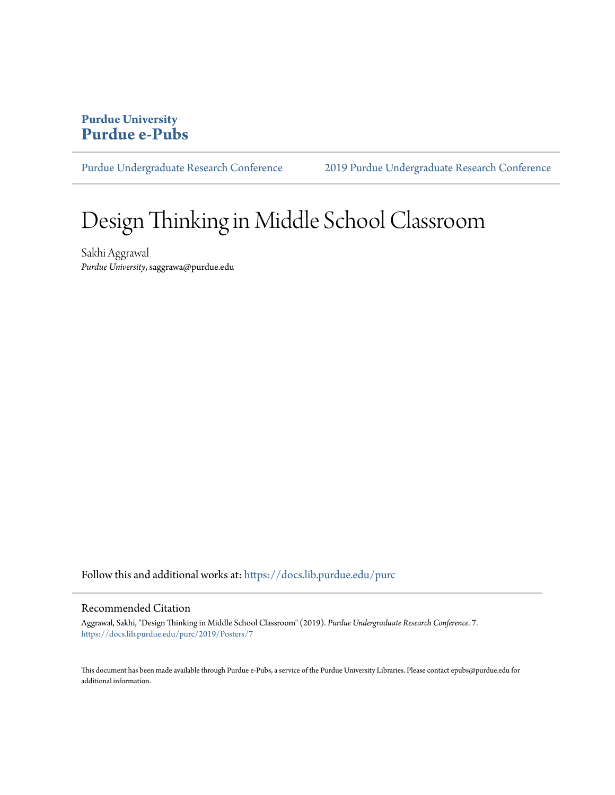## **Purdue University [Purdue e-Pubs](https://docs.lib.purdue.edu?utm_source=docs.lib.purdue.edu%2Fpurc%2F2019%2FPosters%2F7&utm_medium=PDF&utm_campaign=PDFCoverPages)**

[Purdue Undergraduate Research Conference](https://docs.lib.purdue.edu/purc?utm_source=docs.lib.purdue.edu%2Fpurc%2F2019%2FPosters%2F7&utm_medium=PDF&utm_campaign=PDFCoverPages) [2019 Purdue Undergraduate Research Conference](https://docs.lib.purdue.edu/purc/2019?utm_source=docs.lib.purdue.edu%2Fpurc%2F2019%2FPosters%2F7&utm_medium=PDF&utm_campaign=PDFCoverPages)

## Design Thinking in Middle School Classroom

Sakhi Aggrawal *Purdue University*, saggrawa@purdue.edu

Follow this and additional works at: [https://docs.lib.purdue.edu/purc](https://docs.lib.purdue.edu/purc?utm_source=docs.lib.purdue.edu%2Fpurc%2F2019%2FPosters%2F7&utm_medium=PDF&utm_campaign=PDFCoverPages)

### Recommended Citation

Aggrawal, Sakhi, "Design Thinking in Middle School Classroom" (2019). *Purdue Undergraduate Research Conference*. 7. [https://docs.lib.purdue.edu/purc/2019/Posters/7](https://docs.lib.purdue.edu/purc/2019/Posters/7?utm_source=docs.lib.purdue.edu%2Fpurc%2F2019%2FPosters%2F7&utm_medium=PDF&utm_campaign=PDFCoverPages)

This document has been made available through Purdue e-Pubs, a service of the Purdue University Libraries. Please contact epubs@purdue.edu for additional information.